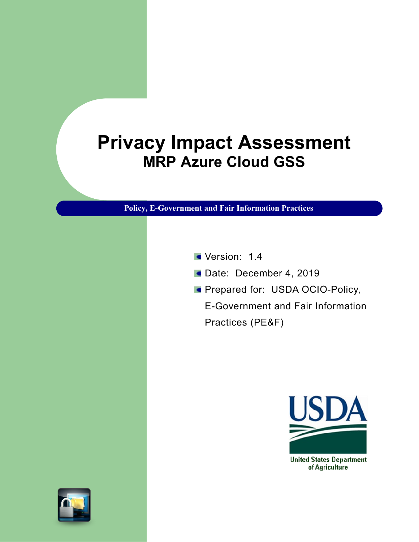## **Privacy Impact Assessment MRP Azure Cloud GSS**

**Policy, E-Government and Fair Information Practices**

- Version: 1.4
- Date: December 4, 2019
- **Prepared for: USDA OCIO-Policy,**

E-Government and Fair Information Practices (PE&F)

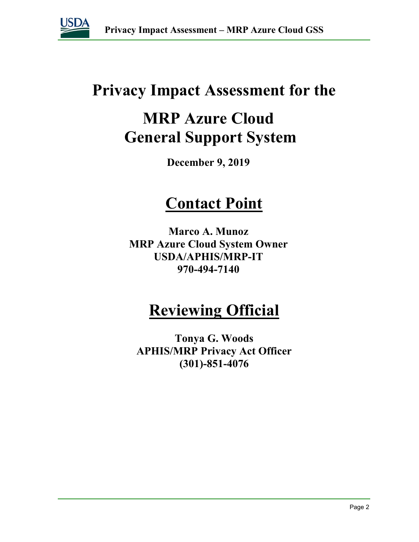

## **Privacy Impact Assessment for the**

## **MRP Azure Cloud General Support System**

**December 9, 2019**

## **Contact Point**

**Marco A. Munoz MRP Azure Cloud System Owner USDA/APHIS/MRP-IT 970-494-7140**

## **Reviewing Official**

**Tonya G. Woods APHIS/MRP Privacy Act Officer (301)-851-4076**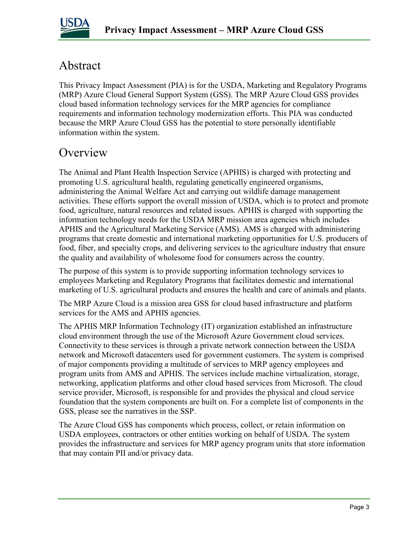

### Abstract

This Privacy Impact Assessment (PIA) is for the USDA, Marketing and Regulatory Programs (MRP) Azure Cloud General Support System (GSS). The MRP Azure Cloud GSS provides cloud based information technology services for the MRP agencies for compliance requirements and information technology modernization efforts. This PIA was conducted because the MRP Azure Cloud GSS has the potential to store personally identifiable information within the system.

### **Overview**

The Animal and Plant Health Inspection Service (APHIS) is charged with protecting and promoting U.S. agricultural health, regulating genetically engineered organisms, administering the Animal Welfare Act and carrying out wildlife damage management activities. These efforts support the overall mission of USDA, which is to protect and promote food, agriculture, natural resources and related issues. APHIS is charged with supporting the information technology needs for the USDA MRP mission area agencies which includes APHIS and the Agricultural Marketing Service (AMS). AMS is charged with administering programs that create domestic and international marketing opportunities for U.S. producers of food, fiber, and specialty crops, and delivering services to the agriculture industry that ensure the quality and availability of wholesome food for consumers across the country.

The purpose of this system is to provide supporting information technology services to employees Marketing and Regulatory Programs that facilitates domestic and international marketing of U.S. agricultural products and ensures the health and care of animals and plants.

The MRP Azure Cloud is a mission area GSS for cloud based infrastructure and platform services for the AMS and APHIS agencies.

The APHIS MRP Information Technology (IT) organization established an infrastructure cloud environment through the use of the Microsoft Azure Government cloud services. Connectivity to these services is through a private network connection between the USDA network and Microsoft datacenters used for government customers. The system is comprised of major components providing a multitude of services to MRP agency employees and program units from AMS and APHIS. The services include machine virtualization, storage, networking, application platforms and other cloud based services from Microsoft. The cloud service provider, Microsoft, is responsible for and provides the physical and cloud service foundation that the system components are built on. For a complete list of components in the GSS, please see the narratives in the SSP.

The Azure Cloud GSS has components which process, collect, or retain information on USDA employees, contractors or other entities working on behalf of USDA. The system provides the infrastructure and services for MRP agency program units that store information that may contain PII and/or privacy data.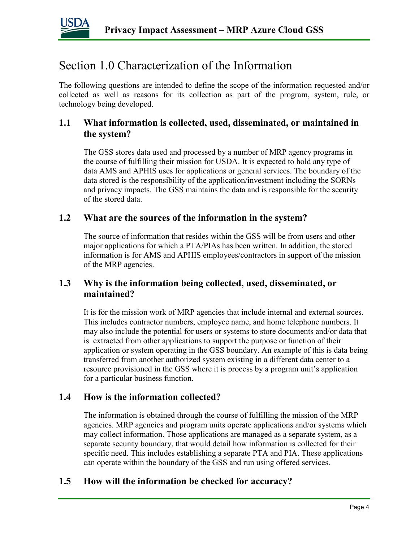

### Section 1.0 Characterization of the Information

The following questions are intended to define the scope of the information requested and/or collected as well as reasons for its collection as part of the program, system, rule, or technology being developed.

#### **1.1 What information is collected, used, disseminated, or maintained in the system?**

The GSS stores data used and processed by a number of MRP agency programs in the course of fulfilling their mission for USDA. It is expected to hold any type of data AMS and APHIS uses for applications or general services. The boundary of the data stored is the responsibility of the application/investment including the SORNs and privacy impacts. The GSS maintains the data and is responsible for the security of the stored data.

#### **1.2 What are the sources of the information in the system?**

The source of information that resides within the GSS will be from users and other major applications for which a PTA/PIAs has been written. In addition, the stored information is for AMS and APHIS employees/contractors in support of the mission of the MRP agencies.

#### **1.3 Why is the information being collected, used, disseminated, or maintained?**

It is for the mission work of MRP agencies that include internal and external sources. This includes contractor numbers, employee name, and home telephone numbers. It may also include the potential for users or systems to store documents and/or data that is extracted from other applications to support the purpose or function of their application or system operating in the GSS boundary. An example of this is data being transferred from another authorized system existing in a different data center to a resource provisioned in the GSS where it is process by a program unit's application for a particular business function.

#### **1.4 How is the information collected?**

The information is obtained through the course of fulfilling the mission of the MRP agencies. MRP agencies and program units operate applications and/or systems which may collect information. Those applications are managed as a separate system, as a separate security boundary, that would detail how information is collected for their specific need. This includes establishing a separate PTA and PIA. These applications can operate within the boundary of the GSS and run using offered services.

#### **1.5 How will the information be checked for accuracy?**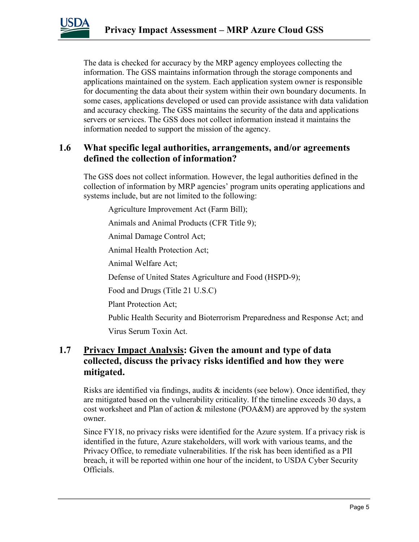

The data is checked for accuracy by the MRP agency employees collecting the information. The GSS maintains information through the storage components and applications maintained on the system. Each application system owner is responsible for documenting the data about their system within their own boundary documents. In some cases, applications developed or used can provide assistance with data validation and accuracy checking. The GSS maintains the security of the data and applications servers or services. The GSS does not collect information instead it maintains the information needed to support the mission of the agency.

#### **1.6 What specific legal authorities, arrangements, and/or agreements defined the collection of information?**

The GSS does not collect information. However, the legal authorities defined in the collection of information by MRP agencies' program units operating applications and systems include, but are not limited to the following:

Agriculture Improvement Act (Farm Bill);

Animals and Animal Products (CFR Title 9);

Animal Damage Control Act;

Animal Health Protection Act;

Animal Welfare Act;

Defense of United States Agriculture and Food (HSPD-9);

Food and Drugs (Title 21 U.S.C)

Plant Protection Act;

Public Health Security and Bioterrorism Preparedness and Response Act; and

Virus Serum Toxin Act.

#### **1.7 Privacy Impact Analysis: Given the amount and type of data collected, discuss the privacy risks identified and how they were mitigated.**

Risks are identified via findings, audits  $\&$  incidents (see below). Once identified, they are mitigated based on the vulnerability criticality. If the timeline exceeds 30 days, a cost worksheet and Plan of action & milestone (POA&M) are approved by the system owner.

Since FY18, no privacy risks were identified for the Azure system. If a privacy risk is identified in the future, Azure stakeholders, will work with various teams, and the Privacy Office, to remediate vulnerabilities. If the risk has been identified as a PII breach, it will be reported within one hour of the incident, to USDA Cyber Security Officials.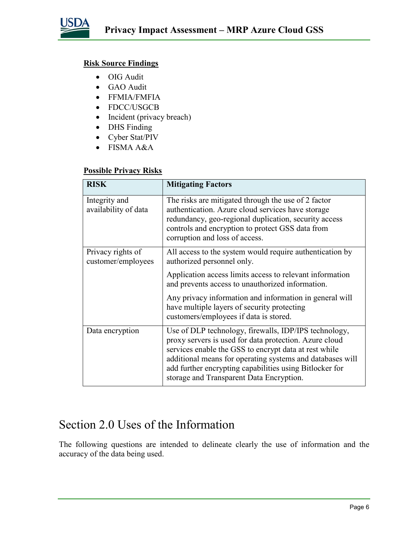

#### **Risk Source Findings**

- OIG Audit
- GAO Audit
- FFMIA/FMFIA
- FDCC/USGCB
- Incident (privacy breach)
- DHS Finding
- Cyber Stat/PIV
- FISMA A&A

#### **Possible Privacy Risks**

| <b>RISK</b>                             | <b>Mitigating Factors</b>                                                                                                                                                                                                                                                                                                                    |
|-----------------------------------------|----------------------------------------------------------------------------------------------------------------------------------------------------------------------------------------------------------------------------------------------------------------------------------------------------------------------------------------------|
| Integrity and<br>availability of data   | The risks are mitigated through the use of 2 factor<br>authentication. Azure cloud services have storage<br>redundancy, geo-regional duplication, security access<br>controls and encryption to protect GSS data from<br>corruption and loss of access.                                                                                      |
| Privacy rights of<br>customer/employees | All access to the system would require authentication by<br>authorized personnel only.                                                                                                                                                                                                                                                       |
|                                         | Application access limits access to relevant information<br>and prevents access to unauthorized information.                                                                                                                                                                                                                                 |
|                                         | Any privacy information and information in general will<br>have multiple layers of security protecting<br>customers/employees if data is stored.                                                                                                                                                                                             |
| Data encryption                         | Use of DLP technology, firewalls, IDP/IPS technology,<br>proxy servers is used for data protection. Azure cloud<br>services enable the GSS to encrypt data at rest while<br>additional means for operating systems and databases will<br>add further encrypting capabilities using Bitlocker for<br>storage and Transparent Data Encryption. |

### Section 2.0 Uses of the Information

The following questions are intended to delineate clearly the use of information and the accuracy of the data being used.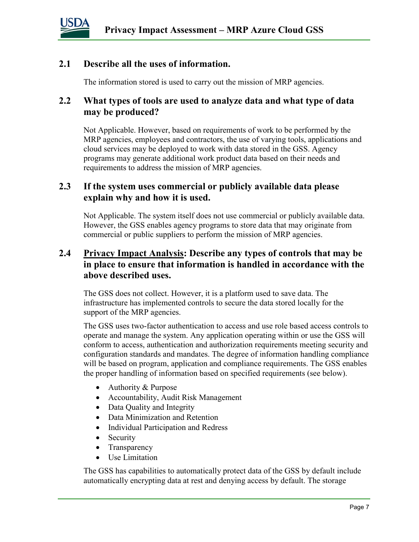

#### **2.1 Describe all the uses of information.**

The information stored is used to carry out the mission of MRP agencies.

#### **2.2 What types of tools are used to analyze data and what type of data may be produced?**

Not Applicable. However, based on requirements of work to be performed by the MRP agencies, employees and contractors, the use of varying tools, applications and cloud services may be deployed to work with data stored in the GSS. Agency programs may generate additional work product data based on their needs and requirements to address the mission of MRP agencies.

#### **2.3 If the system uses commercial or publicly available data please explain why and how it is used.**

Not Applicable. The system itself does not use commercial or publicly available data. However, the GSS enables agency programs to store data that may originate from commercial or public suppliers to perform the mission of MRP agencies.

#### **2.4 Privacy Impact Analysis: Describe any types of controls that may be in place to ensure that information is handled in accordance with the above described uses.**

The GSS does not collect. However, it is a platform used to save data. The infrastructure has implemented controls to secure the data stored locally for the support of the MRP agencies.

The GSS uses two-factor authentication to access and use role based access controls to operate and manage the system. Any application operating within or use the GSS will conform to access, authentication and authorization requirements meeting security and configuration standards and mandates. The degree of information handling compliance will be based on program, application and compliance requirements. The GSS enables the proper handling of information based on specified requirements (see below).

- Authority & Purpose
- Accountability, Audit Risk Management
- Data Quality and Integrity
- Data Minimization and Retention
- Individual Participation and Redress
- Security
- Transparency
- Use Limitation

The GSS has capabilities to automatically protect data of the GSS by default include automatically encrypting data at rest and denying access by default. The storage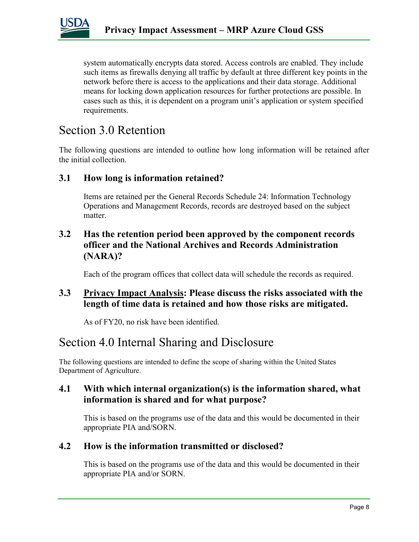

system automatically encrypts data stored. Access controls are enabled. They include such items as firewalls denying all traffic by default at three different key points in the network before there is access to the applications and their data storage. Additional means for locking down application resources for further protections are possible. In cases such as this, it is dependent on a program unit's application or system specified requirements.

### Section 3.0 Retention

The following questions are intended to outline how long information will be retained after the initial collection.

#### **3.1 How long is information retained?**

Items are retained per the General Records Schedule 24: Information Technology Operations and Management Records, records are destroyed based on the subject matter.

#### **3.2 Has the retention period been approved by the component records officer and the National Archives and Records Administration (NARA)?**

Each of the program offices that collect data will schedule the records as required.

#### **3.3 Privacy Impact Analysis: Please discuss the risks associated with the length of time data is retained and how those risks are mitigated.**

As of FY20, no risk have been identified.

### Section 4.0 Internal Sharing and Disclosure

The following questions are intended to define the scope of sharing within the United States Department of Agriculture.

#### **4.1 With which internal organization(s) is the information shared, what information is shared and for what purpose?**

This is based on the programs use of the data and this would be documented in their appropriate PIA and/SORN.

#### **4.2 How is the information transmitted or disclosed?**

This is based on the programs use of the data and this would be documented in their appropriate PIA and/or SORN.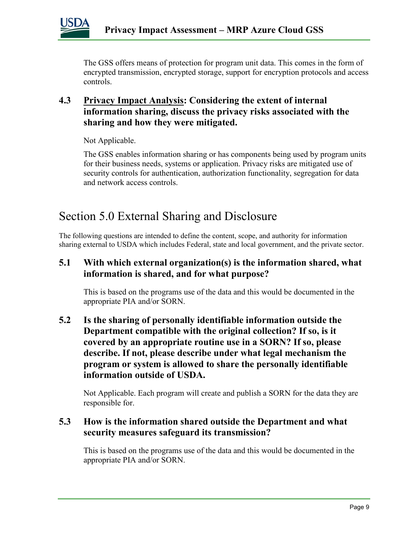

The GSS offers means of protection for program unit data. This comes in the form of encrypted transmission, encrypted storage, support for encryption protocols and access controls.

#### **4.3 Privacy Impact Analysis: Considering the extent of internal information sharing, discuss the privacy risks associated with the sharing and how they were mitigated.**

Not Applicable.

The GSS enables information sharing or has components being used by program units for their business needs, systems or application. Privacy risks are mitigated use of security controls for authentication, authorization functionality, segregation for data and network access controls.

### Section 5.0 External Sharing and Disclosure

The following questions are intended to define the content, scope, and authority for information sharing external to USDA which includes Federal, state and local government, and the private sector.

#### **5.1 With which external organization(s) is the information shared, what information is shared, and for what purpose?**

This is based on the programs use of the data and this would be documented in the appropriate PIA and/or SORN.

#### **5.2 Is the sharing of personally identifiable information outside the Department compatible with the original collection? If so, is it covered by an appropriate routine use in a SORN? If so, please describe. If not, please describe under what legal mechanism the program or system is allowed to share the personally identifiable information outside of USDA.**

Not Applicable. Each program will create and publish a SORN for the data they are responsible for.

#### **5.3 How is the information shared outside the Department and what security measures safeguard its transmission?**

This is based on the programs use of the data and this would be documented in the appropriate PIA and/or SORN.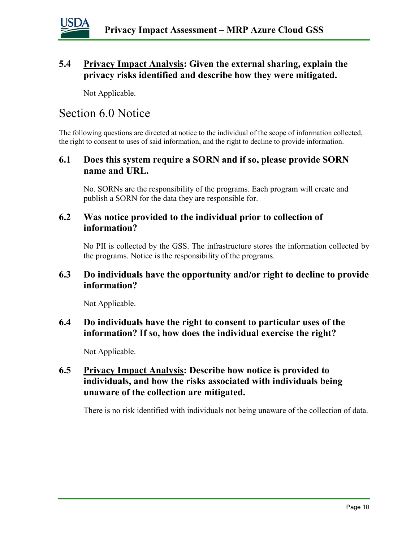

#### **5.4 Privacy Impact Analysis: Given the external sharing, explain the privacy risks identified and describe how they were mitigated.**

Not Applicable.

### Section 6.0 Notice

The following questions are directed at notice to the individual of the scope of information collected, the right to consent to uses of said information, and the right to decline to provide information.

#### **6.1 Does this system require a SORN and if so, please provide SORN name and URL.**

No. SORNs are the responsibility of the programs. Each program will create and publish a SORN for the data they are responsible for.

#### **6.2 Was notice provided to the individual prior to collection of information?**

No PII is collected by the GSS. The infrastructure stores the information collected by the programs. Notice is the responsibility of the programs.

#### **6.3 Do individuals have the opportunity and/or right to decline to provide information?**

Not Applicable.

#### **6.4 Do individuals have the right to consent to particular uses of the information? If so, how does the individual exercise the right?**

Not Applicable.

#### **6.5 Privacy Impact Analysis: Describe how notice is provided to individuals, and how the risks associated with individuals being unaware of the collection are mitigated.**

There is no risk identified with individuals not being unaware of the collection of data.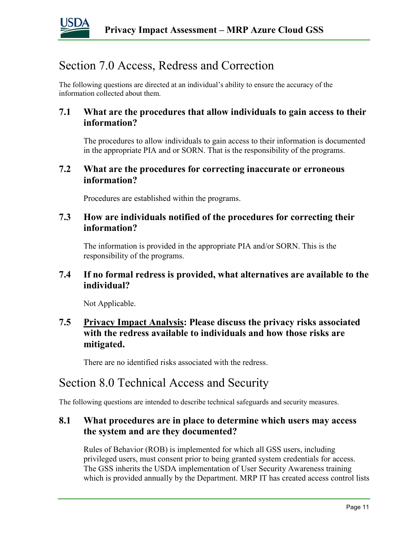

### Section 7.0 Access, Redress and Correction

The following questions are directed at an individual's ability to ensure the accuracy of the information collected about them.

#### **7.1 What are the procedures that allow individuals to gain access to their information?**

The procedures to allow individuals to gain access to their information is documented in the appropriate PIA and or SORN. That is the responsibility of the programs.

#### **7.2 What are the procedures for correcting inaccurate or erroneous information?**

Procedures are established within the programs.

#### **7.3 How are individuals notified of the procedures for correcting their information?**

The information is provided in the appropriate PIA and/or SORN. This is the responsibility of the programs.

#### **7.4 If no formal redress is provided, what alternatives are available to the individual?**

Not Applicable.

#### **7.5 Privacy Impact Analysis: Please discuss the privacy risks associated with the redress available to individuals and how those risks are mitigated.**

There are no identified risks associated with the redress.

### Section 8.0 Technical Access and Security

The following questions are intended to describe technical safeguards and security measures.

#### **8.1 What procedures are in place to determine which users may access the system and are they documented?**

Rules of Behavior (ROB) is implemented for which all GSS users, including privileged users, must consent prior to being granted system credentials for access. The GSS inherits the USDA implementation of User Security Awareness training which is provided annually by the Department. MRP IT has created access control lists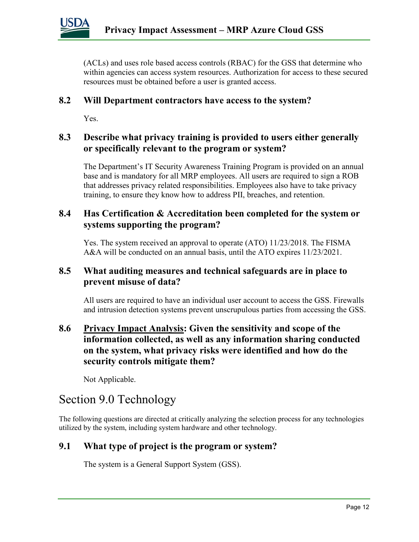(ACLs) and uses role based access controls (RBAC) for the GSS that determine who within agencies can access system resources. Authorization for access to these secured resources must be obtained before a user is granted access.

#### **8.2 Will Department contractors have access to the system?**

Yes.

#### **8.3 Describe what privacy training is provided to users either generally or specifically relevant to the program or system?**

The Department's IT Security Awareness Training Program is provided on an annual base and is mandatory for all MRP employees. All users are required to sign a ROB that addresses privacy related responsibilities. Employees also have to take privacy training, to ensure they know how to address PII, breaches, and retention.

#### **8.4 Has Certification & Accreditation been completed for the system or systems supporting the program?**

Yes. The system received an approval to operate (ATO) 11/23/2018. The FISMA A&A will be conducted on an annual basis, until the ATO expires 11/23/2021.

#### **8.5 What auditing measures and technical safeguards are in place to prevent misuse of data?**

All users are required to have an individual user account to access the GSS. Firewalls and intrusion detection systems prevent unscrupulous parties from accessing the GSS.

#### **8.6 Privacy Impact Analysis: Given the sensitivity and scope of the information collected, as well as any information sharing conducted on the system, what privacy risks were identified and how do the security controls mitigate them?**

Not Applicable.

### Section 9.0 Technology

The following questions are directed at critically analyzing the selection process for any technologies utilized by the system, including system hardware and other technology.

#### **9.1 What type of project is the program or system?**

The system is a General Support System (GSS).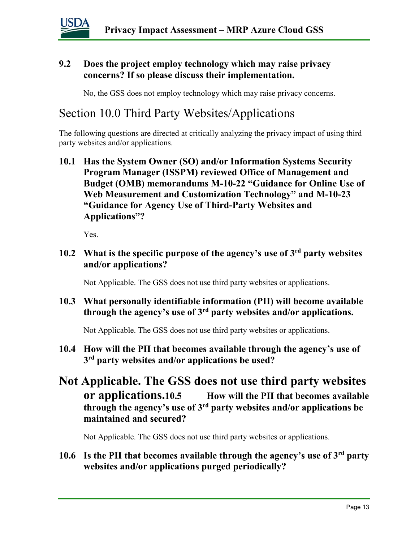

#### **9.2 Does the project employ technology which may raise privacy concerns? If so please discuss their implementation.**

No, the GSS does not employ technology which may raise privacy concerns.

### Section 10.0 Third Party Websites/Applications

The following questions are directed at critically analyzing the privacy impact of using third party websites and/or applications.

**10.1 Has the System Owner (SO) and/or Information Systems Security Program Manager (ISSPM) reviewed Office of Management and Budget (OMB) memorandums M-10-22 "Guidance for Online Use of Web Measurement and Customization Technology" and M-10-23 "Guidance for Agency Use of Third-Party Websites and Applications"?**

Yes.

**10.2 What is the specific purpose of the agency's use of 3rd party websites and/or applications?**

Not Applicable. The GSS does not use third party websites or applications.

**10.3 What personally identifiable information (PII) will become available through the agency's use of 3rd party websites and/or applications.**

Not Applicable. The GSS does not use third party websites or applications.

- **10.4 How will the PII that becomes available through the agency's use of 3rd party websites and/or applications be used?**
- **Not Applicable. The GSS does not use third party websites or applications.10.5 How will the PII that becomes available through the agency's use of 3rd party websites and/or applications be maintained and secured?**

Not Applicable. The GSS does not use third party websites or applications.

#### **10.6 Is the PII that becomes available through the agency's use of 3rd party websites and/or applications purged periodically?**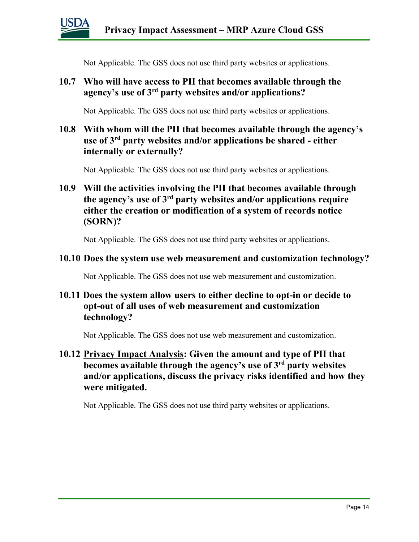

Not Applicable. The GSS does not use third party websites or applications.

#### **10.7 Who will have access to PII that becomes available through the agency's use of 3rd party websites and/or applications?**

Not Applicable. The GSS does not use third party websites or applications.

#### **10.8 With whom will the PII that becomes available through the agency's use of 3rd party websites and/or applications be shared - either internally or externally?**

Not Applicable. The GSS does not use third party websites or applications.

#### **10.9 Will the activities involving the PII that becomes available through the agency's use of 3rd party websites and/or applications require either the creation or modification of a system of records notice (SORN)?**

Not Applicable. The GSS does not use third party websites or applications.

#### **10.10 Does the system use web measurement and customization technology?**

Not Applicable. The GSS does not use web measurement and customization.

#### **10.11 Does the system allow users to either decline to opt-in or decide to opt-out of all uses of web measurement and customization technology?**

Not Applicable. The GSS does not use web measurement and customization.

#### **10.12 Privacy Impact Analysis: Given the amount and type of PII that becomes available through the agency's use of 3rd party websites and/or applications, discuss the privacy risks identified and how they were mitigated.**

Not Applicable. The GSS does not use third party websites or applications.